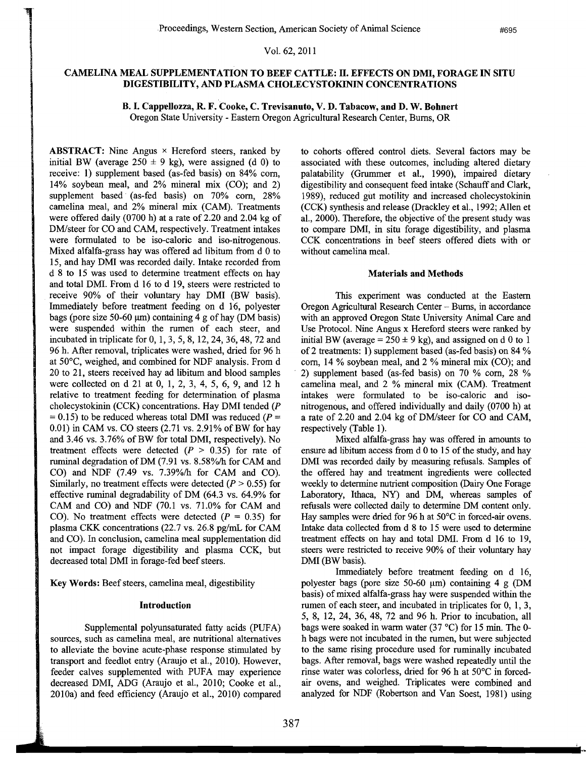Vol. 62, 2011

# CAMELINA MEAL SUPPLEMENTATION TO BEEF CATTLE: II. EFFECTS ON DMI, FORAGE IN SITU DIGESTIBILITY, AND PLASMA CHOLECYSTOKININ CONCENTRATIONS

B. I. Cappellozza, R. F. Cooke, C. Trevisanuto, V. D. Tabacow, and D. W. Bohnert Oregon State University - Eastern Oregon Agricultural Research Center, Bums, OR

**ABSTRACT:** Nine Angus  $\times$  Hereford steers, ranked by initial BW (average  $250 \pm 9$  kg), were assigned (d 0) to receive: 1) supplement based (as-fed basis) on 84% com, 14% soybean meal, and 2% mineral mix (CO); and 2) supplement based (as-fed basis) on 70% corn, 28% camelina meal, and 2% mineral mix (CAM). Treatments were offered daily (0700 h) at a rate of 2.20 and 2.04 kg of DM/steer for CO and CAM, respectively. Treatment intakes were formulated to be iso-caloric and iso-nitrogenous. Mixed alfalfa-grass hay was offered ad libitum from d 0 to 15, and hay DMI was recorded daily. Intake recorded from d 8 to 15 was used to determine treatment effects on hay and total DMI. From d 16 to d 19, steers were restricted to receive 90% of their voluntary hay DMI (BW basis). Immediately before treatment feeding on d 16, polyester bags (pore size 50-60  $\mu$ m) containing 4 g of hay (DM basis) were suspended within the rumen of each steer, and incubated in triplicate for 0, 1,3,5,8, 12,24,36,48, 72 and 96 h. After removal, triplicates were washed, dried for 96 h at 50°C, weighed, and combined for NDF analysis. From d 20 to 21, steers received hay ad libitum and blood samples were collected on d 21 at 0, 1, 2, 3, 4, 5, 6, 9, and 12 h relative to treatment feeding for determination of plasma cholecystokinin (CCK) concentrations. Hay DMI tended (P  $= 0.15$ ) to be reduced whereas total DMI was reduced ( $P =$  $0.01$ ) in CAM vs. CO steers  $(2.71 \text{ vs. } 2.91\% \text{ of BW for hay})$ and 3.46 vs. 3.76% of BW for total DMI, respectively). No treatment effects were detected  $(P > 0.35)$  for rate of ruminal degradation ofDM (7.91 vs. 8.58%/h for CAM and CO) and NDF (7.49 vs. 7.39%/h for CAM and CO). Similarly, no treatment effects were detected ( $P > 0.55$ ) for effective ruminal degradability of DM (64.3 vs. 64.9% for CAM and CO) and NDF (70.1 vs. 71.0% for CAM and CO). No treatment effects were detected  $(P = 0.35)$  for plasma CKK concentrations  $(22.7 \text{ vs. } 26.8 \text{ pg/mL}$  for CAM and CO). In conclusion, camelina meal supplementation did not impact forage digestibility and plasma CCK, but decreased total DMI in forage-fed beef steers.

Key Words: Beef steers, camelina meal, digestibility

## Introduction

Supplemental polyunsaturated fatty acids (PUFA) sources, such as camelina meal, are nutritional alternatives to alleviate the bovine acute-phase response stimulated by transport and feedlot entry (Araujo et aI., 2010). However, feeder calves supplemented with PUFA may experience decreased DMI, ADG (Araujo et aI., 2010; Cooke et aI., 201Oa) and feed efficiency (Araujo et aI., 2010) compared

to cohorts offered control diets. Several factors may be associated with these outcomes, including altered dietary palatability (Grummer et aI., 1990), impaired dietary digestibility and consequent feed intake (Schauff and Clark, 1989), reduced gut motility and increased cholecystokinin (CCK) synthesis and release (Drackley et aI., 1992; Allen et aI., 2000). Therefore, the objective of the present study was to compare DMI, in situ forage digestibility, and plasma CCK concentrations in beef steers offered diets with or without camelina meal.

### Materials and Methods

This experiment was conducted at the Eastern Oregon Agricultural Research Center - Bums, in accordance with an approved Oregon State University Animal Care and Use Protocol. Nine Angus x Hereford steers were ranked by initial BW (average =  $250 \pm 9$  kg), and assigned on d 0 to 1 of2 treatments: I) supplement based (as-fed basis) on 84 % com, 14 % soybean meal, and 2 % mineral mix (CO); and 2) supplement based (as-fed basis) on 70 % com, 28 % camelina meal, and 2 % mineral mix (CAM). Treatment intakes were formulated to be iso-caloric and isonitrogenous, and offered individually and daily (0700 h) at a rate of 2.20 and 2.04 kg of DM/steer for CO and CAM, respectively (Table 1).

Mixed alfalfa-grass hay was offered in amounts to ensure ad libitum access from d 0 to 15 of the study, and hay DMI was recorded daily by measuring refusals. Samples of the offered hay and treatment ingredients were collected weekly to determine nutrient composition (Dairy One Forage Laboratory, Ithaca, NY) and DM, whereas samples of refusals were collected daily to determine DM content only. Hay samples were dried for 96 h at 50°C in forced-air ovens. Intake data collected from d 8 to 15 were used to determine treatment effects on hay and total DMI. From d 16 to 19, steers were restricted to receive 90% of their voluntary hay DMI (BW basis).

Immediately before treatment feeding on d 16, polyester bags (pore size  $50-60 \mu m$ ) containing 4 g (DM basis) of mixed alfalfa-grass hay were suspended within the rumen of each steer, and incubated in triplicates for 0, 1,3, 5, 8, 12, 24, 36,48, 72 and 96 h. Prior to incubation, all bags were soaked in warm water (37°C) for 15 min. The 0 h bags were not incubated in the rumen, but were subjected to the same rising procedure used for ruminally incubated bags. After removal, bags were washed repeatedly until the rinse water was colorless, dried for 96 h at 50°C in forcedair ovens, and weighed. Triplicates were combined and analyzed for NDF (Robertson and Van Soest, 1981) using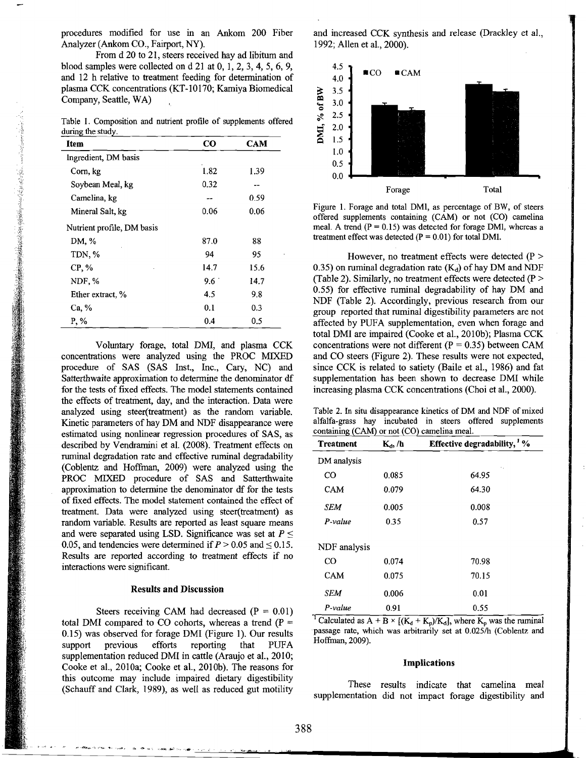procedures modified for use in an Ankom 200 Fiber Analyzer (Ankom CO., Fairport, NY).

From d 20 to 21, steers received hay ad libitum and blood samples were collected on d 21 at 0, 1,2,3,4,5, 6, 9, and 12 h relative to treatment feeding for determination of plasma CCK concentrations (KT-10170; Kamiya Biomedical Company, Seattle, WA)

Table I. Composition and nutrient profile of supplements offered during the study.

| Item                       | CO            | <b>CAM</b> |
|----------------------------|---------------|------------|
| Ingredient, DM basis       |               |            |
| Corn, kg                   | 1.82          | 1.39       |
| Soybean Meal, kg           | 0.32          |            |
| Camelina, kg               | --            | 0.59       |
| Mineral Salt, kg           | 0.06          | 0.06       |
| Nutrient profile, DM basis |               |            |
| DM, %                      | 87.0          | 88         |
| TDN, %                     | 94            | 95         |
| $CP. \%$                   | 14.7          | 15.6       |
| NDF, %                     | $9.6^{\circ}$ | 14.7       |
| Ether extract, %           | 4.5           | 9.8        |
| Ca, %                      | 0.1           | 0.3        |
| P, %                       | 0.4           | 0.5        |

Voluntary forage, total DMI, and plasma CCK concentrations were analyzed using the PROC MIXED procedure of SAS (SAS Inst., Inc., Cary, NC) and Satterthwaite approximation to determine the denominator df for the tests of fixed effects. The model statements contained the effects of treatment, day, and the interaction. Data were analyzed using steer(treatment) as the random variable. Kinetic parameters of hay DM and NDF disappearance were estimated using nonlinear regression procedures of SAS, as described by Vendramini et al. (2008). Treatment effects on ruminal degradation rate and effective ruminal degradability (Coblentz and Hoffman, 2009) were analyzed using the PROC MIXED procedure of SAS and Satterthwaite approximation to determine the denominator df for the tests of fixed effects. The model statement contained the effect of treatment. Data were analyzed using steer(treatment) as random variable. Results are reported as least square means and were separated using LSD. Significance was set at  $P \leq$ 0.05, and tendencies were determined if  $P > 0.05$  and  $\leq 0.15$ . Results are reported according to treatment effects if no interactions were significant.

#### Results and Discussion

Steers receiving CAM had decreased  $(P = 0.01)$ total DMI compared to CO cohorts, whereas a trend ( $P =$ 0.15) was observed for forage DMI (Figure 1). Our results support previous efforts reporting that PUFA supplementation reduced DMI in cattle (Araujo et al., 2010; Cooke et al., 201Oa; Cooke et al., 2010b). The reasons for this outcome may include impaired dietary digestibility (Schauff and Clark, 1989), as well as reduced gut motility and increased CCK synthesis and release (Drackley et al., 1992; Allen et al., 2000).



Figure 1. Forage and total OMl, as percentage of BW, of steers offered supplements containing (CAM) or not (CO) camelina meal. A trend  $(P = 0.15)$  was detected for forage DMl, whereas a treatment effect was detected  $(P = 0.01)$  for total DM1.

However, no treatment effects were detected  $(P >$ 0.35) on ruminal degradation rate  $(K_d)$  of hay DM and NDF (Table 2). Similarly, no treatment effects were detected  $(P >$ 0.55) for effective ruminal degradability of hay DM and NDF (Table 2). Accordingly, previous research from our group reported that ruminal digestibility parameters are not affected by PUFA supplementation, even when forage and total DMI are impaired (Cooke et al., 20IOb); Plasma CCK concentrations were not different ( $P = 0.35$ ) between CAM and CO steers (Figure 2). These results were not expected, since CCK is related to satiety (Baile et al., 1986) and fat supplementation has been shown to decrease DMI while increasing plasma CCK concentrations (Choi et al., 2000).

Table 2. In situ disappearance kinetics of OM and NDF of mixed alfalfa-grass hay incubated in steers offered supplements containing (CAM) or not (CO) camelina meal.

| Treatment     | $K_d$ , /h | Effective degradability, <sup>1</sup> % |  |
|---------------|------------|-----------------------------------------|--|
| DM analysis   |            |                                         |  |
| $_{\rm CO}$   | 0.085      | 64.95                                   |  |
| <b>CAM</b>    | 0.079      | 64.30                                   |  |
| SEM           | 0.005      | 0.008                                   |  |
| P-value       | 0.35       | 0.57                                    |  |
| NDF analysis  |            |                                         |  |
| CO            | 0.074      | 70.98                                   |  |
| <b>CAM</b>    | 0.075      | 70.15                                   |  |
| SEM           | 0.006      | 0.01                                    |  |
| P-value<br>-- | 0.91       | 0.55                                    |  |

<sup>1</sup> Calculated as A + B  $\times$  [(K<sub>d</sub> + K<sub>p</sub>)/K<sub>d</sub>], where K<sub>p</sub> was the ruminal passage rate, which was arbitrarily set at 0.025/h (Coblentz and Hoffman, 2009).

#### Implications

These results indicate that camelina meal supplementation did not impact forage digestibility and